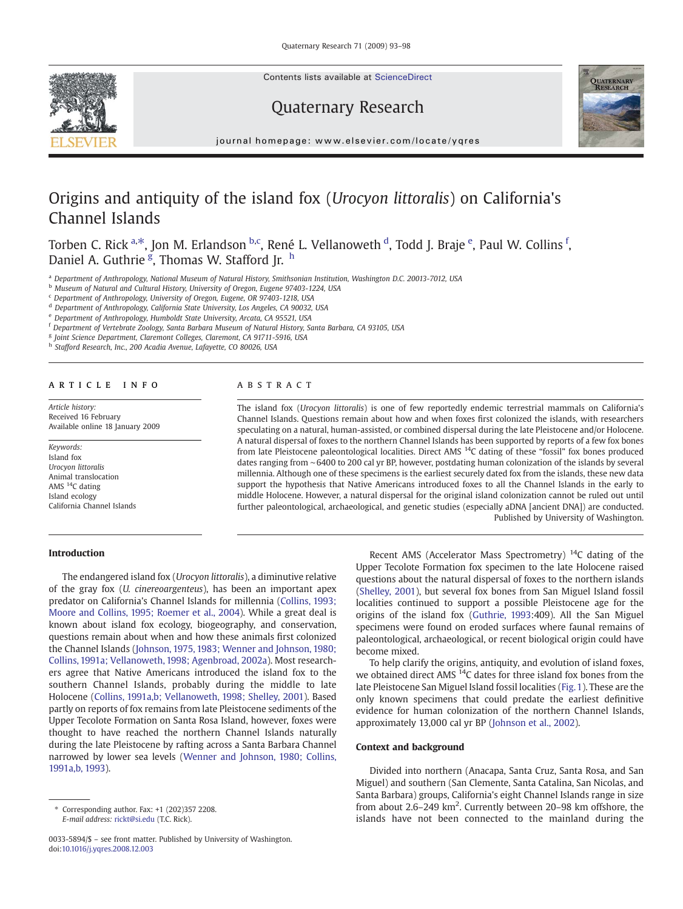Contents lists available at ScienceDirect





## Quaternary Research

journal homepage: www.elsevier.com/locate/yqres

# Origins and antiquity of the island fox (Urocyon littoralis) on California's Channel Islands

Torben C. Rick <sup>a,\*</sup>, Jon M. Erlandson <sup>b,c</sup>, René L. Vellanoweth <sup>d</sup>, Todd J. Braje <sup>e</sup>, Paul W. Collins <sup>f</sup>, Daniel A. Guthrie <sup>g</sup>, Thomas W. Stafford Jr. <sup>h</sup>

<sup>a</sup> Department of Anthropology, National Museum of Natural History, Smithsonian Institution, Washington D.C. 20013-7012, USA

<sup>b</sup> Museum of Natural and Cultural History, University of Oregon, Eugene 97403-1224, USA

<sup>c</sup> Department of Anthropology, University of Oregon, Eugene, OR 97403-1218, USA

<sup>d</sup> Department of Anthropology, California State University, Los Angeles, CA 90032, USA

<sup>e</sup> Department of Anthropology, Humboldt State University, Arcata, CA 95521, USA

<sup>f</sup> Department of Vertebrate Zoology, Santa Barbara Museum of Natural History, Santa Barbara, CA 93105, USA

<sup>g</sup> Joint Science Department, Claremont Colleges, Claremont, CA 91711-5916, USA

h Stafford Research, Inc., 200 Acadia Avenue, Lafayette, CO 80026, USA

#### article info abstract

Article history: Received 16 February Available online 18 January 2009

Keywords: Island fox Urocyon littoralis Animal translocation AMS  $^{14}C$  dating Island ecology California Channel Islands

### Introduction

The island fox (Urocyon littoralis) is one of few reportedly endemic terrestrial mammals on California's Channel Islands. Questions remain about how and when foxes first colonized the islands, with researchers speculating on a natural, human-assisted, or combined dispersal during the late Pleistocene and/or Holocene. A natural dispersal of foxes to the northern Channel Islands has been supported by reports of a few fox bones from late Pleistocene paleontological localities. Direct AMS 14C dating of these "fossil" fox bones produced dates ranging from ∼6400 to 200 cal yr BP, however, postdating human colonization of the islands by several millennia. Although one of these specimens is the earliest securely dated fox from the islands, these new data support the hypothesis that Native Americans introduced foxes to all the Channel Islands in the early to middle Holocene. However, a natural dispersal for the original island colonization cannot be ruled out until further paleontological, archaeological, and genetic studies (especially aDNA [ancient DNA]) are conducted. Published by University of Washington.

The endangered island fox (Urocyon littoralis), a diminutive relative of the gray fox (U. cinereoargenteus), has been an important apex predator on California's Channel Islands for millennia ([Collins, 1993;](#page-4-0) [Moore and Collins, 1995; Roemer et al., 2004](#page-4-0)). While a great deal is known about island fox ecology, biogeography, and conservation, questions remain about when and how these animals first colonized the Channel Islands [\(Johnson, 1975, 1983; Wenner and Johnson, 1980;](#page-5-0) [Collins, 1991a; Vellanoweth, 1998; Agenbroad, 2002a](#page-5-0)). Most researchers agree that Native Americans introduced the island fox to the southern Channel Islands, probably during the middle to late Holocene [\(Collins, 1991a,b; Vellanoweth, 1998; Shelley, 2001](#page-4-0)). Based partly on reports of fox remains from late Pleistocene sediments of the Upper Tecolote Formation on Santa Rosa Island, however, foxes were thought to have reached the northern Channel Islands naturally during the late Pleistocene by rafting across a Santa Barbara Channel narrowed by lower sea levels ([Wenner and Johnson, 1980; Collins,](#page-5-0) [1991a,b, 1993\)](#page-5-0).

Recent AMS (Accelerator Mass Spectrometry)<sup>14</sup>C dating of the Upper Tecolote Formation fox specimen to the late Holocene raised questions about the natural dispersal of foxes to the northern islands ([Shelley, 2001\)](#page-5-0), but several fox bones from San Miguel Island fossil localities continued to support a possible Pleistocene age for the origins of the island fox [\(Guthrie, 1993](#page-5-0):409). All the San Miguel specimens were found on eroded surfaces where faunal remains of paleontological, archaeological, or recent biological origin could have become mixed.

To help clarify the origins, antiquity, and evolution of island foxes, we obtained direct AMS<sup>14</sup>C dates for three island fox bones from the late Pleistocene San Miguel Island fossil localities ([Fig. 1\)](#page-1-0). These are the only known specimens that could predate the earliest definitive evidence for human colonization of the northern Channel Islands, approximately 13,000 cal yr BP ([Johnson et al., 2002](#page-5-0)).

#### Context and background

Divided into northern (Anacapa, Santa Cruz, Santa Rosa, and San Miguel) and southern (San Clemente, Santa Catalina, San Nicolas, and Santa Barbara) groups, California's eight Channel Islands range in size from about 2.6–249 km<sup>2</sup>. Currently between 20–98 km offshore, the islands have not been connected to the mainland during the

<sup>⁎</sup> Corresponding author. Fax: +1 (202)357 2208. E-mail address: [rickt@si.edu](mailto:rickt@si.�edu) (T.C. Rick).

<sup>0033-5894/\$</sup> – see front matter. Published by University of Washington. doi:[10.1016/j.yqres.2008.12.003](http://dx.doi.org/10.1016/j.yqres.2008.12.003)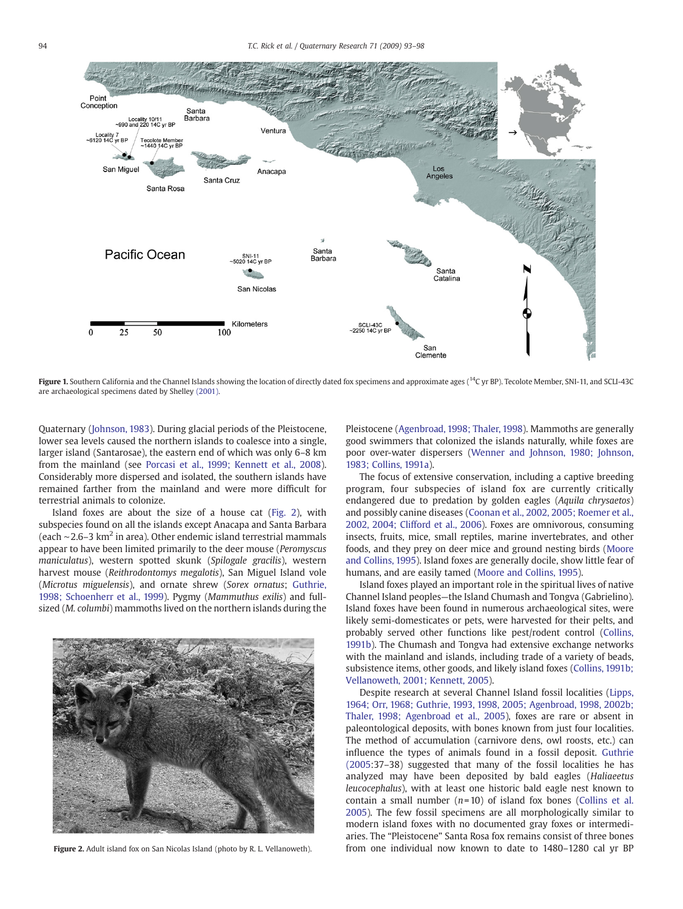<span id="page-1-0"></span>

Figure 1. Southern California and the Channel Islands showing the location of directly dated fox specimens and approximate ages (<sup>14</sup>C yr BP). Tecolote Member, SNI-11, and SCLI-43C are archaeological specimens dated by Shelley [\(2001\)](#page-5-0).

Quaternary [\(Johnson, 1983](#page-5-0)). During glacial periods of the Pleistocene, lower sea levels caused the northern islands to coalesce into a single, larger island (Santarosae), the eastern end of which was only 6–8 km from the mainland (see [Porcasi et al., 1999; Kennett et al., 2008](#page-5-0)). Considerably more dispersed and isolated, the southern islands have remained farther from the mainland and were more difficult for terrestrial animals to colonize.

Island foxes are about the size of a house cat (Fig. 2), with subspecies found on all the islands except Anacapa and Santa Barbara (each ~2.6–3 km<sup>2</sup> in area). Other endemic island terrestrial mammals appear to have been limited primarily to the deer mouse (Peromyscus maniculatus), western spotted skunk (Spilogale gracilis), western harvest mouse (Reithrodontomys megalotis), San Miguel Island vole (Microtus miguelensis), and ornate shrew (Sorex ornatus; [Guthrie,](#page-5-0) [1998; Schoenherr et al., 1999\)](#page-5-0). Pygmy (Mammuthus exilis) and fullsized (M. columbi) mammoths lived on the northern islands during the



Figure 2. Adult island fox on San Nicolas Island (photo by R. L. Vellanoweth).

Pleistocene ([Agenbroad, 1998; Thaler, 1998\)](#page-4-0). Mammoths are generally good swimmers that colonized the islands naturally, while foxes are poor over-water dispersers [\(Wenner and Johnson, 1980; Johnson,](#page-5-0) [1983; Collins, 1991a](#page-5-0)).

The focus of extensive conservation, including a captive breeding program, four subspecies of island fox are currently critically endangered due to predation by golden eagles (Aquila chrysaetos) and possibly canine diseases ([Coonan et al., 2002, 2005; Roemer et al.,](#page-4-0) [2002, 2004; Clifford et al., 2006](#page-4-0)). Foxes are omnivorous, consuming insects, fruits, mice, small reptiles, marine invertebrates, and other foods, and they prey on deer mice and ground nesting birds [\(Moore](#page-5-0) [and Collins, 1995\)](#page-5-0). Island foxes are generally docile, show little fear of humans, and are easily tamed [\(Moore and Collins, 1995](#page-5-0)).

Island foxes played an important role in the spiritual lives of native Channel Island peoples—the Island Chumash and Tongva (Gabrielino). Island foxes have been found in numerous archaeological sites, were likely semi-domesticates or pets, were harvested for their pelts, and probably served other functions like pest/rodent control ([Collins,](#page-4-0) [1991b\)](#page-4-0). The Chumash and Tongva had extensive exchange networks with the mainland and islands, including trade of a variety of beads, subsistence items, other goods, and likely island foxes [\(Collins, 1991b;](#page-4-0) [Vellanoweth, 2001; Kennett, 2005](#page-4-0)).

Despite research at several Channel Island fossil localities ([Lipps,](#page-5-0) [1964; Orr, 1968; Guthrie, 1993, 1998, 2005; Agenbroad, 1998, 2002b;](#page-5-0) [Thaler, 1998; Agenbroad et al., 2005\)](#page-5-0), foxes are rare or absent in paleontological deposits, with bones known from just four localities. The method of accumulation (carnivore dens, owl roosts, etc.) can influence the types of animals found in a fossil deposit. [Guthrie](#page-5-0) [\(2005](#page-5-0):37–38) suggested that many of the fossil localities he has analyzed may have been deposited by bald eagles (Haliaeetus leucocephalus), with at least one historic bald eagle nest known to contain a small number  $(n=10)$  of island fox bones [\(Collins et al.](#page-4-0) [2005](#page-4-0)). The few fossil specimens are all morphologically similar to modern island foxes with no documented gray foxes or intermediaries. The "Pleistocene" Santa Rosa fox remains consist of three bones from one individual now known to date to 1480–1280 cal yr BP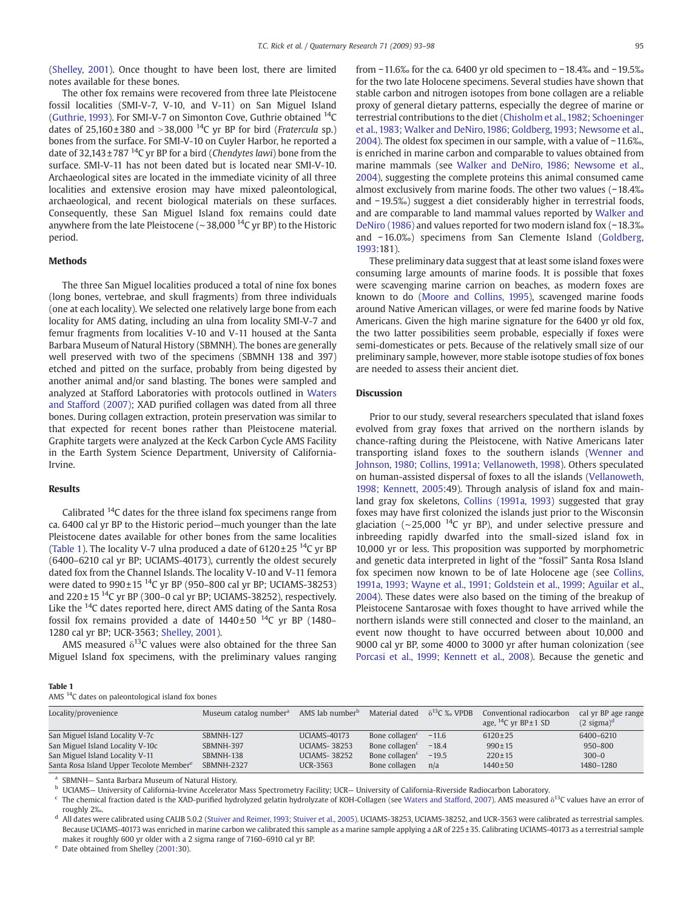([Shelley, 2001](#page-5-0)). Once thought to have been lost, there are limited notes available for these bones.

The other fox remains were recovered from three late Pleistocene fossil localities (SMI-V-7, V-10, and V-11) on San Miguel Island ([Guthrie, 1993\)](#page-5-0). For SMI-V-7 on Simonton Cove, Guthrie obtained 14C dates of  $25,160 \pm 380$  and  $> 38,000$  <sup>14</sup>C yr BP for bird (*Fratercula sp.*) bones from the surface. For SMI-V-10 on Cuyler Harbor, he reported a date of  $32,143 \pm 787$  <sup>14</sup>C yr BP for a bird (*Chendytes lawi*) bone from the surface. SMI-V-11 has not been dated but is located near SMI-V-10. Archaeological sites are located in the immediate vicinity of all three localities and extensive erosion may have mixed paleontological, archaeological, and recent biological materials on these surfaces. Consequently, these San Miguel Island fox remains could date anywhere from the late Pleistocene (∼38,000 14C yr BP) to the Historic period.

#### Methods

The three San Miguel localities produced a total of nine fox bones (long bones, vertebrae, and skull fragments) from three individuals (one at each locality). We selected one relatively large bone from each locality for AMS dating, including an ulna from locality SMI-V-7 and femur fragments from localities V-10 and V-11 housed at the Santa Barbara Museum of Natural History (SBMNH). The bones are generally well preserved with two of the specimens (SBMNH 138 and 397) etched and pitted on the surface, probably from being digested by another animal and/or sand blasting. The bones were sampled and analyzed at Stafford Laboratories with protocols outlined in [Waters](#page-5-0) [and Stafford \(2007\)](#page-5-0); XAD purified collagen was dated from all three bones. During collagen extraction, protein preservation was similar to that expected for recent bones rather than Pleistocene material. Graphite targets were analyzed at the Keck Carbon Cycle AMS Facility in the Earth System Science Department, University of California-Irvine.

### Results

Calibrated 14C dates for the three island fox specimens range from ca. 6400 cal yr BP to the Historic period—much younger than the late Pleistocene dates available for other bones from the same localities (Table 1). The locality V-7 ulna produced a date of  $6120 \pm 25$  <sup>14</sup>C yr BP (6400–6210 cal yr BP; UCIAMS-40173), currently the oldest securely dated fox from the Channel Islands. The locality V-10 and V-11 femora were dated to  $990 \pm 15$  <sup>14</sup>C yr BP (950–800 cal yr BP; UCIAMS-38253) and  $220 \pm 15^{14}$ C yr BP (300–0 cal yr BP; UCIAMS-38252), respectively. Like the <sup>14</sup>C dates reported here, direct AMS dating of the Santa Rosa fossil fox remains provided a date of  $1440\pm50$  <sup>14</sup>C yr BP (1480– 1280 cal yr BP; UCR-3563; [Shelley, 2001](#page-5-0)).

AMS measured  $\delta^{13}$ C values were also obtained for the three San Miguel Island fox specimens, with the preliminary values ranging from −11.6‰ for the ca. 6400 yr old specimen to −18.4‰ and −19.5‰ for the two late Holocene specimens. Several studies have shown that stable carbon and nitrogen isotopes from bone collagen are a reliable proxy of general dietary patterns, especially the degree of marine or terrestrial contributions to the diet [\(Chisholm et al., 1982; Schoeninger](#page-4-0) [et al., 1983; Walker and DeNiro, 1986; Goldberg, 1993; Newsome et al.,](#page-4-0) [2004](#page-4-0)). The oldest fox specimen in our sample, with a value of −11.6‰, is enriched in marine carbon and comparable to values obtained from marine mammals (see [Walker and DeNiro, 1986; Newsome et al.,](#page-5-0) [2004](#page-5-0)), suggesting the complete proteins this animal consumed came almost exclusively from marine foods. The other two values (−18.4‰ and −19.5‰) suggest a diet considerably higher in terrestrial foods, and are comparable to land mammal values reported by [Walker and](#page-5-0) [DeNiro \(1986\)](#page-5-0) and values reported for two modern island fox (−18.3‰ and −16.0‰) specimens from San Clemente Island [\(Goldberg,](#page-5-0) [1993](#page-5-0):181).

These preliminary data suggest that at least some island foxes were consuming large amounts of marine foods. It is possible that foxes were scavenging marine carrion on beaches, as modern foxes are known to do [\(Moore and Collins, 1995](#page-5-0)), scavenged marine foods around Native American villages, or were fed marine foods by Native Americans. Given the high marine signature for the 6400 yr old fox, the two latter possibilities seem probable, especially if foxes were semi-domesticates or pets. Because of the relatively small size of our preliminary sample, however, more stable isotope studies of fox bones are needed to assess their ancient diet.

#### **Discussion**

Prior to our study, several researchers speculated that island foxes evolved from gray foxes that arrived on the northern islands by chance-rafting during the Pleistocene, with Native Americans later transporting island foxes to the southern islands ([Wenner and](#page-5-0) [Johnson, 1980; Collins, 1991a; Vellanoweth, 1998\)](#page-5-0). Others speculated on human-assisted dispersal of foxes to all the islands ([Vellanoweth,](#page-5-0) [1998; Kennett, 2005:](#page-5-0)49). Through analysis of island fox and mainland gray fox skeletons, [Collins \(1991a, 1993\)](#page-4-0) suggested that gray foxes may have first colonized the islands just prior to the Wisconsin glaciation ( $\sim$ 25,000<sup>14</sup>C yr BP), and under selective pressure and inbreeding rapidly dwarfed into the small-sized island fox in 10,000 yr or less. This proposition was supported by morphometric and genetic data interpreted in light of the "fossil" Santa Rosa Island fox specimen now known to be of late Holocene age (see [Collins,](#page-4-0) [1991a, 1993; Wayne et al., 1991; Goldstein et al., 1999; Aguilar et al.,](#page-4-0) [2004](#page-4-0)). These dates were also based on the timing of the breakup of Pleistocene Santarosae with foxes thought to have arrived while the northern islands were still connected and closer to the mainland, an event now thought to have occurred between about 10,000 and 9000 cal yr BP, some 4000 to 3000 yr after human colonization (see [Porcasi et al., 1999; Kennett et al., 2008\)](#page-5-0). Because the genetic and

| <b>Table 1</b> |                                                               |  |
|----------------|---------------------------------------------------------------|--|
|                | AMS <sup>14</sup> C dates on paleontological island fox bones |  |

| Locality/provenience                                 | Museum catalog number <sup>a</sup> | AMS lab number <sup>b</sup> | Material dated             | $\delta^{13}$ C ‰ VPDB | Conventional radiocarbon<br>age, $^{14}$ C yr BP $\pm$ 1 SD | cal yr BP age range<br>$(2 \text{ sigma})^d$ |
|------------------------------------------------------|------------------------------------|-----------------------------|----------------------------|------------------------|-------------------------------------------------------------|----------------------------------------------|
| San Miguel Island Locality V-7c                      | SBMNH-127                          | <b>UCIAMS-40173</b>         | Bone collagen <sup>c</sup> | $-11.6$                | $6120 \pm 25$                                               | 6400-6210                                    |
| San Miguel Island Locality V-10c                     | <b>SBMNH-397</b>                   | <b>UCIAMS-38253</b>         | Bone collagen <sup>c</sup> | $-18.4$                | $990 \pm 15$                                                | 950-800                                      |
| San Miguel Island Locality V-11                      | SBMNH-138                          | <b>UCIAMS-38252</b>         | Bone collagen <sup>c</sup> | $-19.5$                | $220 \pm 15$                                                | $300 - 0$                                    |
| Santa Rosa Island Upper Tecolote Member <sup>e</sup> | <b>SBMNH-2327</b>                  | <b>UCR-3563</b>             | Bone collagen              | n/a                    | $1440 \pm 50$                                               | 1480-1280                                    |

<sup>a</sup> SBMNH— Santa Barbara Museum of Natural History.<br><sup>b</sup> UCIAMS— University of California-Irvine Accelerator

<sup>b</sup> UCIAMS— University of California-Irvine Accelerator Mass Spectrometry Facility; UCR— University of California-Riverside Radiocarbon Laboratory.

The chemical fraction dated is the XAD-purified hydrolyzed gelatin hydrolyzate of KOH-Collagen (see [Waters and Stafford, 2007\)](#page-5-0). AMS measured δ<sup>13</sup>C values have an error of roughly 2‰.

<sup>d</sup> All dates were calibrated using CALIB 5.0.2 ([Stuiver and Reimer, 1993; Stuiver et al., 2005](#page-5-0)). UCIAMS-38253, UCIAMS-38252, and UCR-3563 were calibrated as terrestrial samples. Because UCIAMS-40173 was enriched in marine carbon we calibrated this sample as a marine sample applying a ΔR of 225±35. Calibrating UCIAMS-40173 as a terrestrial sample makes it roughly 600 yr older with a 2 sigma range of 7160–6910 cal yr BP.

Date obtained from Shelley ([2001](#page-5-0):30).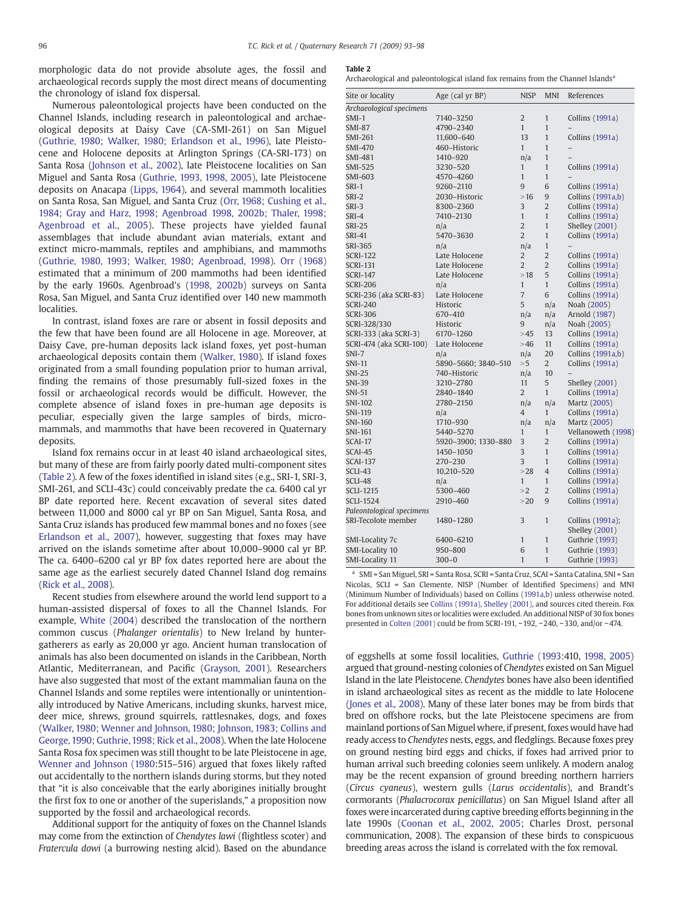morphologic data do not provide absolute ages, the fossil and archaeological records supply the most direct means of documenting the chronology of island fox dispersal.

Numerous paleontological projects have been conducted on the Channel Islands, including research in paleontological and archaeological deposits at Daisy Cave (CA-SMI-261) on San Miguel ([Guthrie, 1980; Walker, 1980; Erlandson et al., 1996\)](#page-5-0), late Pleistocene and Holocene deposits at Arlington Springs (CA-SRI-173) on Santa Rosa [\(Johnson et al., 2002\)](#page-5-0), late Pleistocene localities on San Miguel and Santa Rosa ([Guthrie, 1993, 1998, 2005\)](#page-5-0), late Pleistocene deposits on Anacapa ([Lipps, 1964](#page-5-0)), and several mammoth localities on Santa Rosa, San Miguel, and Santa Cruz [\(Orr, 1968; Cushing et al.,](#page-5-0) [1984; Gray and Harz, 1998; Agenbroad 1998, 2002b; Thaler, 1998;](#page-5-0) [Agenbroad et al., 2005](#page-5-0)). These projects have yielded faunal assemblages that include abundant avian materials, extant and extinct micro-mammals, reptiles and amphibians, and mammoths ([Guthrie, 1980, 1993; Walker, 1980; Agenbroad, 1998\)](#page-5-0). [Orr \(1968\)](#page-5-0) estimated that a minimum of 200 mammoths had been identified by the early 1960s. Agenbroad's [\(1998, 2002b](#page-4-0)) surveys on Santa Rosa, San Miguel, and Santa Cruz identified over 140 new mammoth localities.

In contrast, island foxes are rare or absent in fossil deposits and the few that have been found are all Holocene in age. Moreover, at Daisy Cave, pre-human deposits lack island foxes, yet post-human archaeological deposits contain them ([Walker, 1980](#page-5-0)). If island foxes originated from a small founding population prior to human arrival, finding the remains of those presumably full-sized foxes in the fossil or archaeological records would be difficult. However, the complete absence of island foxes in pre-human age deposits is peculiar, especially given the large samples of birds, micromammals, and mammoths that have been recovered in Quaternary deposits.

Island fox remains occur in at least 40 island archaeological sites, but many of these are from fairly poorly dated multi-component sites (Table 2). A few of the foxes identified in island sites (e.g., SRI-1, SRI-3, SMI-261, and SCLI-43c) could conceivably predate the ca. 6400 cal yr BP date reported here. Recent excavation of several sites dated between 11,000 and 8000 cal yr BP on San Miguel, Santa Rosa, and Santa Cruz islands has produced few mammal bones and no foxes (see [Erlandson et al., 2007\)](#page-5-0), however, suggesting that foxes may have arrived on the islands sometime after about 10,000–9000 cal yr BP. The ca. 6400–6200 cal yr BP fox dates reported here are about the same age as the earliest securely dated Channel Island dog remains ([Rick et al., 2008\)](#page-5-0).

Recent studies from elsewhere around the world lend support to a human-assisted dispersal of foxes to all the Channel Islands. For example, [White \(2004\)](#page-5-0) described the translocation of the northern common cuscus (Phalanger orientalis) to New Ireland by huntergatherers as early as 20,000 yr ago. Ancient human translocation of animals has also been documented on islands in the Caribbean, North Atlantic, Mediterranean, and Pacific ([Grayson, 2001](#page-5-0)). Researchers have also suggested that most of the extant mammalian fauna on the Channel Islands and some reptiles were intentionally or unintentionally introduced by Native Americans, including skunks, harvest mice, deer mice, shrews, ground squirrels, rattlesnakes, dogs, and foxes ([Walker, 1980; Wenner and Johnson, 1980; Johnson, 1983; Collins and](#page-5-0) [George, 1990; Guthrie, 1998; Rick et al., 2008\)](#page-5-0). When the late Holocene Santa Rosa fox specimen was still thought to be late Pleistocene in age, [Wenner and Johnson \(1980](#page-5-0):515–516) argued that foxes likely rafted out accidentally to the northern islands during storms, but they noted that "it is also conceivable that the early aborigines initially brought the first fox to one or another of the superislands," a proposition now supported by the fossil and archaeological records.

Additional support for the antiquity of foxes on the Channel Islands may come from the extinction of Chendytes lawi (flightless scoter) and Fratercula dowi (a burrowing nesting alcid). Based on the abundance

Archaeological and paleontological island fox remains from the Channel Islands<sup>a</sup>

| Site or locality          | Age (cal yr BP)     | <b>NISP</b>    | <b>MNI</b>     | References               |
|---------------------------|---------------------|----------------|----------------|--------------------------|
| Archaeological specimens  |                     |                |                |                          |
| $SMI-1$                   | 7140-3250           | $\overline{2}$ | $\mathbf{1}$   | Collins (1991a)          |
| <b>SMI-87</b>             | 4790-2340           | $\mathbf{1}$   | $\mathbf{1}$   |                          |
| <b>SMI-261</b>            | 11,600-640          | 13             | $\mathbf{1}$   | Collins (1991a)          |
| <b>SMI-470</b>            | 460-Historic        | $\mathbf{1}$   | $\mathbf{1}$   | $\overline{\phantom{0}}$ |
| <b>SMI-481</b>            | 1410-920            | n/a            | $\mathbf{1}$   | $\overline{a}$           |
| <b>SMI-525</b>            | 3230-520            | $\mathbf{1}$   | $\mathbf{1}$   | Collins (1991a)          |
| SMI-603                   | 4570-4260           | $\mathbf{1}$   | $\mathbf{1}$   |                          |
| SRI-1                     | 9260-2110           | 9              | 6              | Collins (1991a)          |
| SRI-2                     | 2030-Historic       | >16            | 9              | Collins (1991a,b)        |
| SRI-3                     | 8300-2360           | 3              | $\overline{2}$ | Collins (1991a)          |
| SRI-4                     | 7410-2130           | $\mathbf{1}$   | $\mathbf{1}$   | Collins (1991a)          |
| <b>SRI-25</b>             | n/a                 | $\overline{2}$ | $\mathbf{1}$   | <b>Shelley</b> (2001)    |
| <b>SRI-41</b>             | 5470-3630           | $\overline{2}$ | $\mathbf{1}$   | Collins (1991a)          |
| <b>SRI-365</b>            | n/a                 | n/a            | $\mathbf{1}$   |                          |
| <b>SCRI-122</b>           | Late Holocene       | $\overline{2}$ | $\overline{2}$ | Collins (1991a)          |
| <b>SCRI-131</b>           | Late Holocene       | $\overline{2}$ | $\overline{2}$ | Collins (1991a)          |
| <b>SCRI-147</b>           | Late Holocene       | >18            | 5              | Collins (1991a)          |
| <b>SCRI-206</b>           | n/a                 | $\mathbf{1}$   | $\mathbf{1}$   | Collins (1991a)          |
| SCRI-236 (aka SCRI-83)    | Late Holocene       | 7              | 6              | Collins (1991a)          |
| <b>SCRI-240</b>           | Historic            | 5              | n/a            | Noah (2005)              |
| <b>SCRI-306</b>           | 670-410             | n/a            | n/a            | Arnold (1987)            |
| SCRI-328/330              | Historic            | 9              | n/a            | Noah (2005)              |
| SCRI-333 (aka SCRI-3)     | 6170-1260           | >45            | 13             | Collins (1991a)          |
| SCRI-474 (aka SCRI-100)   | Late Holocene       | >46            | 11             | Collins (1991a)          |
| $SNI-7$                   | n/a                 | n/a            | 20             | Collins (1991a,b)        |
| <b>SNI-11</b>             | 5890-5660; 3840-510 | >5             | $\overline{2}$ | Collins (1991a)          |
| <b>SNI-25</b>             | 740-Historic        | n/a            | 10             |                          |
| <b>SNI-39</b>             | 3210-2780           | 11             | 5              | <b>Shelley</b> (2001)    |
| <b>SNI-51</b>             | 2840-1840           | $\overline{2}$ | $\mathbf{1}$   | Collins (1991a)          |
| <b>SNI-102</b>            | 2780-2150           | n/a            | n/a            | Martz (2005)             |
| <b>SNI-119</b>            | n/a                 | 4              | $\mathbf{1}$   | Collins (1991a)          |
| <b>SNI-160</b>            | 1710-930            | n/a            | n/a            | Martz (2005)             |
| <b>SNI-161</b>            | 5440-5270           | $\mathbf{1}$   | $\mathbf{1}$   | Vellanoweth (1998)       |
| SCAI-17                   | 5920-3900; 1330-880 | 3              | $\overline{2}$ | Collins (1991a)          |
| SCAI-45                   | 1450-1050           | 3              | $\mathbf{1}$   | Collins (1991a)          |
| <b>SCAI-137</b>           | 270-230             | 3              | $\mathbf{1}$   | Collins (1991a)          |
| SCLI-43                   | 10,210-520          | >28            | $\overline{4}$ | Collins (1991a)          |
| SCLI-48                   | n/a                 | 1              | $\mathbf{1}$   | Collins (1991a)          |
| <b>SCLI-1215</b>          | 5300-460            | >2             | $\overline{2}$ | Collins (1991a)          |
| <b>SCLI-1524</b>          | 2910-460            | >20            | 9              | Collins (1991a)          |
| Paleontological specimens |                     |                |                |                          |
| SRI-Tecolote member       | 1480-1280           | 3              | $\mathbf{1}$   | Collins (1991a);         |
|                           |                     |                |                | <b>Shelley</b> (2001)    |
| SMI-Locality 7c           | 6400-6210           | $\mathbf{1}$   | $\mathbf{1}$   | <b>Guthrie</b> (1993)    |
| SMI-Locality 10           | 950-800             | 6              | $\mathbf{1}$   | Guthrie (1993)           |
| SMI-Locality 11           | $300 - 0$           | $\mathbf{1}$   | $\mathbf{1}$   | <b>Guthrie</b> (1993)    |
|                           |                     |                |                |                          |

<sup>a</sup> SMI = San Miguel, SRI = Santa Rosa, SCRI = Santa Cruz, SCAI = Santa Catalina, SNI = San Nicolas, SCLI = San Clemente. NISP (Number of Identified Specimens) and MNI (Minimum Number of Individuals) based on Collins [\(1991a,b](#page-4-0)) unless otherwise noted. For additional details see [Collins \(1991a\), Shelley \(2001\)](#page-4-0), and sources cited therein. Fox bones from unknown sites or localities were excluded. An additional NISP of 30 fox bones presented in [Colten \(2001\)](#page-4-0) could be from SCRI-191, −192, −240, −330, and/or −474.

of eggshells at some fossil localities, [Guthrie \(1993](#page-5-0):410, [1998, 2005\)](#page-5-0) argued that ground-nesting colonies of Chendytes existed on San Miguel Island in the late Pleistocene. Chendytes bones have also been identified in island archaeological sites as recent as the middle to late Holocene ([Jones et al., 2008](#page-5-0)). Many of these later bones may be from birds that bred on offshore rocks, but the late Pleistocene specimens are from mainland portions of SanMiguel where, if present, foxes would have had ready access to Chendytes nests, eggs, and fledglings. Because foxes prey on ground nesting bird eggs and chicks, if foxes had arrived prior to human arrival such breeding colonies seem unlikely. A modern analog may be the recent expansion of ground breeding northern harriers (Circus cyaneus), western gulls (Larus occidentalis), and Brandt's cormorants (Phalacrocorax penicillatus) on San Miguel Island after all foxes were incarcerated during captive breeding efforts beginning in the late 1990s ([Coonan et al., 2002, 2005](#page-4-0); Charles Drost, personal communication, 2008). The expansion of these birds to conspicuous breeding areas across the island is correlated with the fox removal.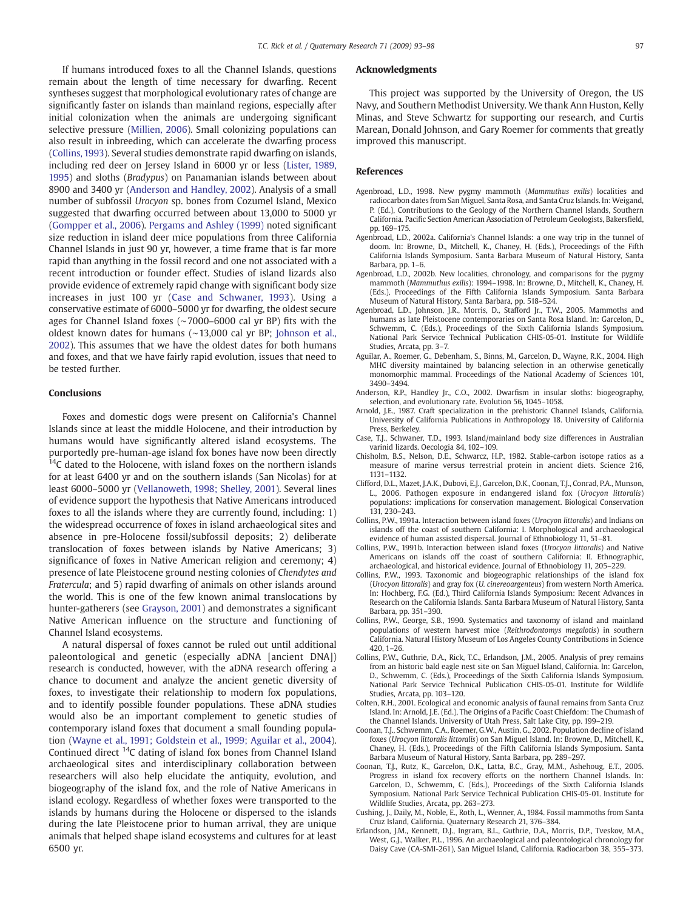<span id="page-4-0"></span>If humans introduced foxes to all the Channel Islands, questions remain about the length of time necessary for dwarfing. Recent syntheses suggest that morphological evolutionary rates of change are significantly faster on islands than mainland regions, especially after initial colonization when the animals are undergoing significant selective pressure [\(Millien, 2006](http://dx.doi.org/10.1371/journal.pbio.0040321)). Small colonizing populations can also result in inbreeding, which can accelerate the dwarfing process (Collins, 1993). Several studies demonstrate rapid dwarfing on islands, including red deer on Jersey Island in 6000 yr or less [\(Lister, 1989,](#page-5-0) [1995](#page-5-0)) and sloths (Bradypus) on Panamanian islands between about 8900 and 3400 yr (Anderson and Handley, 2002). Analysis of a small number of subfossil Urocyon sp. bones from Cozumel Island, Mexico suggested that dwarfing occurred between about 13,000 to 5000 yr ([Gompper et al., 2006\)](#page-5-0). [Pergams and Ashley \(1999\)](#page-5-0) noted significant size reduction in island deer mice populations from three California Channel Islands in just 90 yr, however, a time frame that is far more rapid than anything in the fossil record and one not associated with a recent introduction or founder effect. Studies of island lizards also provide evidence of extremely rapid change with significant body size increases in just 100 yr (Case and Schwaner, 1993). Using a conservative estimate of 6000–5000 yr for dwarfing, the oldest secure ages for Channel Island foxes (∼7000–6000 cal yr BP) fits with the oldest known dates for humans (∼13,000 cal yr BP; [Johnson et al.,](#page-5-0) [2002\)](#page-5-0). This assumes that we have the oldest dates for both humans and foxes, and that we have fairly rapid evolution, issues that need to be tested further.

#### **Conclusions**

Foxes and domestic dogs were present on California's Channel Islands since at least the middle Holocene, and their introduction by humans would have significantly altered island ecosystems. The purportedly pre-human-age island fox bones have now been directly <sup>14</sup>C dated to the Holocene, with island foxes on the northern islands for at least 6400 yr and on the southern islands (San Nicolas) for at least 6000–5000 yr ([Vellanoweth, 1998; Shelley, 2001\)](#page-5-0). Several lines of evidence support the hypothesis that Native Americans introduced foxes to all the islands where they are currently found, including: 1) the widespread occurrence of foxes in island archaeological sites and absence in pre-Holocene fossil/subfossil deposits; 2) deliberate translocation of foxes between islands by Native Americans; 3) significance of foxes in Native American religion and ceremony; 4) presence of late Pleistocene ground nesting colonies of Chendytes and Fratercula; and 5) rapid dwarfing of animals on other islands around the world. This is one of the few known animal translocations by hunter-gatherers (see [Grayson, 2001](#page-5-0)) and demonstrates a significant Native American influence on the structure and functioning of Channel Island ecosystems.

A natural dispersal of foxes cannot be ruled out until additional paleontological and genetic (especially aDNA [ancient DNA]) research is conducted, however, with the aDNA research offering a chance to document and analyze the ancient genetic diversity of foxes, to investigate their relationship to modern fox populations, and to identify possible founder populations. These aDNA studies would also be an important complement to genetic studies of contemporary island foxes that document a small founding population [\(Wayne et al., 1991; Goldstein et al., 1999; Aguilar et al., 2004\)](#page-5-0). Continued direct 14C dating of island fox bones from Channel Island archaeological sites and interdisciplinary collaboration between researchers will also help elucidate the antiquity, evolution, and biogeography of the island fox, and the role of Native Americans in island ecology. Regardless of whether foxes were transported to the islands by humans during the Holocene or dispersed to the islands during the late Pleistocene prior to human arrival, they are unique animals that helped shape island ecosystems and cultures for at least 6500 yr.

#### Acknowledgments

This project was supported by the University of Oregon, the US Navy, and Southern Methodist University. We thank Ann Huston, Kelly Minas, and Steve Schwartz for supporting our research, and Curtis Marean, Donald Johnson, and Gary Roemer for comments that greatly improved this manuscript.

#### References

- Agenbroad, L.D., 1998. New pygmy mammoth (Mammuthus exilis) localities and radiocarbon dates from San Miguel, Santa Rosa, and Santa Cruz Islands. In: Weigand, P. (Ed.), Contributions to the Geology of the Northern Channel Islands, Southern California. Pacific Section American Association of Petroleum Geologists, Bakersfield, pp. 169–175.
- Agenbroad, L.D., 2002a. California's Channel Islands: a one way trip in the tunnel of doom. In: Browne, D., Mitchell, K., Chaney, H. (Eds.), Proceedings of the Fifth California Islands Symposium. Santa Barbara Museum of Natural History, Santa Barbara, pp. 1–6.
- Agenbroad, L.D., 2002b. New localities, chronology, and comparisons for the pygmy mammoth (Mammuthus exilis): 1994–1998. In: Browne, D., Mitchell, K., Chaney, H. (Eds.), Proceedings of the Fifth California Islands Symposium. Santa Barbara Museum of Natural History, Santa Barbara, pp. 518–524.
- Agenbroad, L.D., Johnson, J.R., Morris, D., Stafford Jr., T.W., 2005. Mammoths and humans as late Pleistocene contemporaries on Santa Rosa Island. In: Garcelon, D., Schwemm, C. (Eds.), Proceedings of the Sixth California Islands Symposium. National Park Service Technical Publication CHIS-05-01. Institute for Wildlife Studies, Arcata, pp. 3–7.
- Aguilar, A., Roemer, G., Debenham, S., Binns, M., Garcelon, D., Wayne, R.K., 2004. High MHC diversity maintained by balancing selection in an otherwise genetically monomorphic mammal. Proceedings of the National Academy of Sciences 101, 3490–3494.
- Anderson, R.P., Handley Jr., C.O., 2002. Dwarfism in insular sloths: biogeography, selection, and evolutionary rate. Evolution 56, 1045–1058.
- Arnold, J.E., 1987. Craft specialization in the prehistoric Channel Islands, California. University of California Publications in Anthropology 18. University of California Press, Berkeley.
- Case, T.J., Schwaner, T.D., 1993. Island/mainland body size differences in Australian varinid lizards. Oecologia 84, 102–109.
- Chisholm, B.S., Nelson, D.E., Schwarcz, H.P., 1982. Stable-carbon isotope ratios as a measure of marine versus terrestrial protein in ancient diets. Science 216, 1131–1132.
- Clifford, D.L., Mazet, J.A.K., Dubovi, E.J., Garcelon, D.K., Coonan, T.J., Conrad, P.A., Munson, L., 2006. Pathogen exposure in endangered island fox (Urocyon littoralis) populations: implications for conservation management. Biological Conservation 131, 230–243.
- Collins, P.W., 1991a. Interaction between island foxes (Urocyon littoralis) and Indians on islands off the coast of southern California: I. Morphological and archaeological evidence of human assisted dispersal. Journal of Ethnobiology 11, 51–81.
- Collins, P.W., 1991b. Interaction between island foxes (Urocyon littoralis) and Native Americans on islands off the coast of southern California: II. Ethnographic, archaeological, and historical evidence. Journal of Ethnobiology 11, 205–229.
- Collins, P.W., 1993. Taxonomic and biogeographic relationships of the island fox (Urocyon littoralis) and gray fox (U. cinereoargenteus) from western North America. In: Hochberg, F.G. (Ed.), Third California Islands Symposium: Recent Advances in Research on the California Islands. Santa Barbara Museum of Natural History, Santa Barbara, pp. 351–390.
- Collins, P.W., George, S.B., 1990. Systematics and taxonomy of island and mainland populations of western harvest mice (Reithrodontomys megalotis) in southern California. Natural History Museum of Los Angeles County Contributions in Science 420, 1–26.
- Collins, P.W., Guthrie, D.A., Rick, T.C., Erlandson, J.M., 2005. Analysis of prey remains from an historic bald eagle nest site on San Miguel Island, California. In: Garcelon, D., Schwemm, C. (Eds.), Proceedings of the Sixth California Islands Symposium. National Park Service Technical Publication CHIS-05-01. Institute for Wildlife Studies, Arcata, pp. 103–120.
- Colten, R.H., 2001. Ecological and economic analysis of faunal remains from Santa Cruz Island. In: Arnold, J.E. (Ed.), The Origins of a Pacific Coast Chiefdom: The Chumash of the Channel Islands. University of Utah Press, Salt Lake City, pp. 199–219.
- Coonan, T.J., Schwemm, C.A., Roemer, G.W., Austin, G., 2002. Population decline of island foxes (Urocyon littoralis littoralis) on San Miguel Island. In: Browne, D., Mitchell, K., Chaney, H. (Eds.), Proceedings of the Fifth California Islands Symposium. Santa Barbara Museum of Natural History, Santa Barbara, pp. 289–297.
- Coonan, T.J., Rutz, K., Garcelon, D.K., Latta, B.C., Gray, M.M., Ashehoug, E.T., 2005. Progress in island fox recovery efforts on the northern Channel Islands. In: Garcelon, D., Schwemm, C. (Eds.), Proceedings of the Sixth California Islands Symposium. National Park Service Technical Publication CHIS-05-01. Institute for Wildlife Studies, Arcata, pp. 263–273.
- Cushing, J., Daily, M., Noble, E., Roth, L., Wenner, A., 1984. Fossil mammoths from Santa Cruz Island, California. Quaternary Research 21, 376–384.
- Erlandson, J.M., Kennett, D.J., Ingram, B.L., Guthrie, D.A., Morris, D.P., Tveskov, M.A., West, G.J., Walker, P.L., 1996. An archaeological and paleontological chronology for Daisy Cave (CA-SMI-261), San Miguel Island, California. Radiocarbon 38, 355–373.